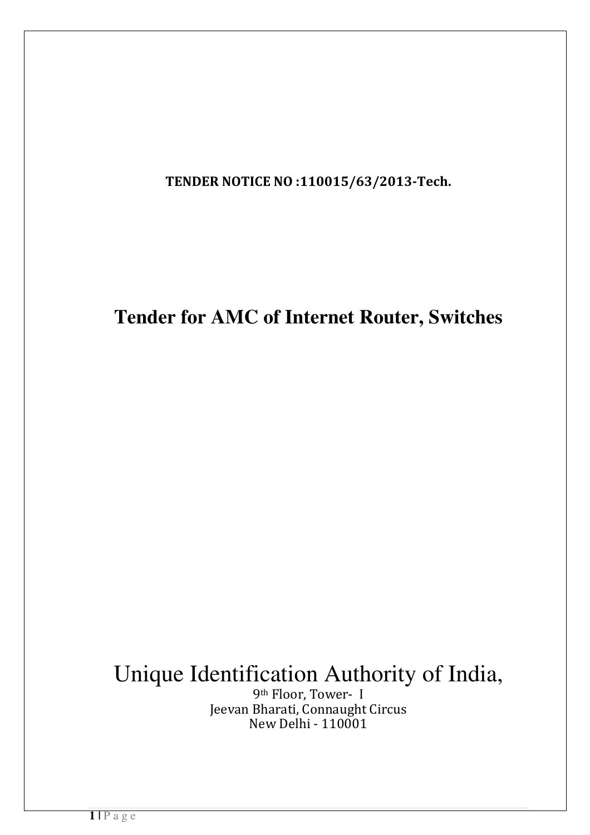TENDER NOTICE NO :110015/63/2013-Tech.

# **Tender for AMC of Internet Router, Switches**

# Unique Identification Authority of India,

9th Floor, Tower- I Jeevan Bharati, Connaught Circus New Delhi - 110001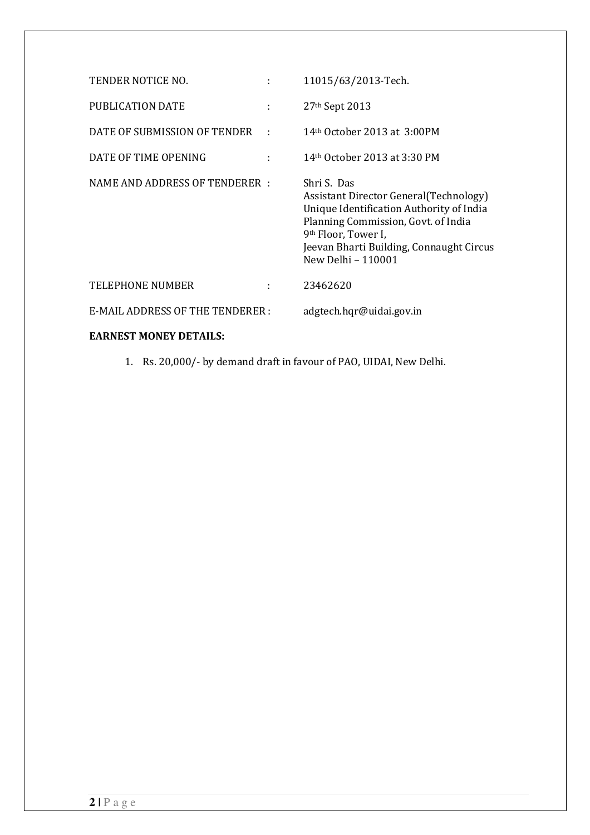| TENDER NOTICE NO.               | ÷            | 11015/63/2013-Tech.                                                                                                                                                                                                                            |
|---------------------------------|--------------|------------------------------------------------------------------------------------------------------------------------------------------------------------------------------------------------------------------------------------------------|
| PUBLICATION DATE                | ÷            | 27 <sup>th</sup> Sept 2013                                                                                                                                                                                                                     |
| DATE OF SUBMISSION OF TENDER    | $\mathbf{r}$ | 14th October 2013 at 3:00PM                                                                                                                                                                                                                    |
| DATE OF TIME OPENING            |              | 14th October 2013 at 3:30 PM                                                                                                                                                                                                                   |
| NAME AND ADDRESS OF TENDERER :  |              | Shri S. Das<br>Assistant Director General (Technology)<br>Unique Identification Authority of India<br>Planning Commission, Govt. of India<br>9 <sup>th</sup> Floor, Tower I,<br>Jeevan Bharti Building, Connaught Circus<br>New Delhi - 110001 |
| <b>TELEPHONE NUMBER</b>         |              | 23462620                                                                                                                                                                                                                                       |
| E-MAIL ADDRESS OF THE TENDERER: |              | adgtech.hqr@uidai.gov.in                                                                                                                                                                                                                       |
| <b>EARNEST MONEY DETAILS:</b>   |              |                                                                                                                                                                                                                                                |

1. Rs. 20,000/- by demand draft in favour of PAO, UIDAI, New Delhi.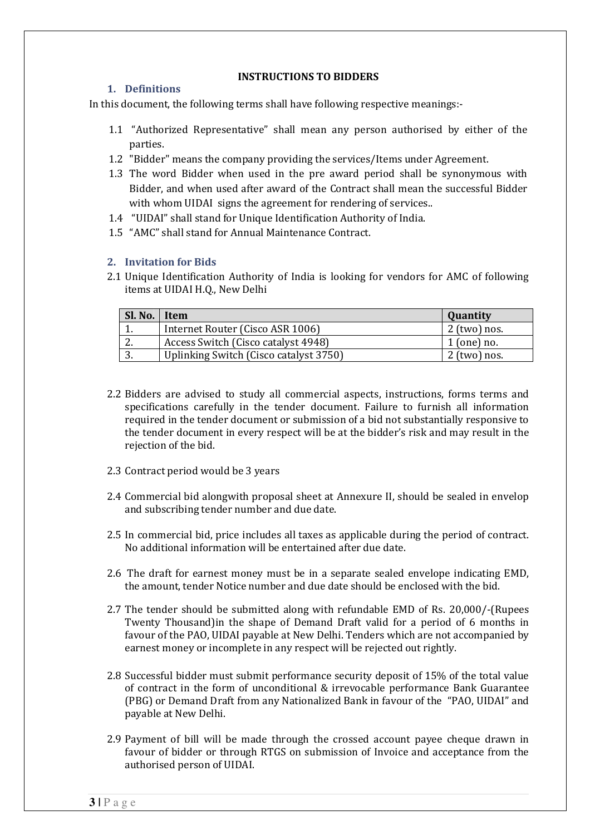#### INSTRUCTIONS TO BIDDERS

#### 1. Definitions

In this document, the following terms shall have following respective meanings:-

- 1.1 "Authorized Representative" shall mean any person authorised by either of the parties.
- 1.2 "Bidder" means the company providing the services/Items under Agreement.
- 1.3 The word Bidder when used in the pre award period shall be synonymous with Bidder, and when used after award of the Contract shall mean the successful Bidder with whom UIDAI signs the agreement for rendering of services..
- 1.4 "UIDAI" shall stand for Unique Identification Authority of India.
- 1.5 "AMC" shall stand for Annual Maintenance Contract.

#### 2. Invitation for Bids

2.1 Unique Identification Authority of India is looking for vendors for AMC of following items at UIDAI H.Q., New Delhi

| Sl. No.   Item |                                        | <b>Quantity</b> |
|----------------|----------------------------------------|-----------------|
| <b>.</b>       | Internet Router (Cisco ASR 1006)       | $2$ (two) nos.  |
| <u>.</u>       | Access Switch (Cisco catalyst 4948)    | $1$ (one) no.   |
| ູ              | Uplinking Switch (Cisco catalyst 3750) | $2$ (two) nos.  |

- 2.2 Bidders are advised to study all commercial aspects, instructions, forms terms and specifications carefully in the tender document. Failure to furnish all information required in the tender document or submission of a bid not substantially responsive to the tender document in every respect will be at the bidder's risk and may result in the rejection of the bid.
- 2.3 Contract period would be 3 years
- 2.4 Commercial bid alongwith proposal sheet at Annexure II, should be sealed in envelop and subscribing tender number and due date.
- 2.5 In commercial bid, price includes all taxes as applicable during the period of contract. No additional information will be entertained after due date.
- 2.6 The draft for earnest money must be in a separate sealed envelope indicating EMD, the amount, tender Notice number and due date should be enclosed with the bid.
- 2.7 The tender should be submitted along with refundable EMD of Rs. 20,000/-(Rupees Twenty Thousand)in the shape of Demand Draft valid for a period of 6 months in favour of the PAO, UIDAI payable at New Delhi. Tenders which are not accompanied by earnest money or incomplete in any respect will be rejected out rightly.
- 2.8 Successful bidder must submit performance security deposit of 15% of the total value of contract in the form of unconditional & irrevocable performance Bank Guarantee (PBG) or Demand Draft from any Nationalized Bank in favour of the "PAO, UIDAI" and payable at New Delhi.
- 2.9 Payment of bill will be made through the crossed account payee cheque drawn in favour of bidder or through RTGS on submission of Invoice and acceptance from the authorised person of UIDAI.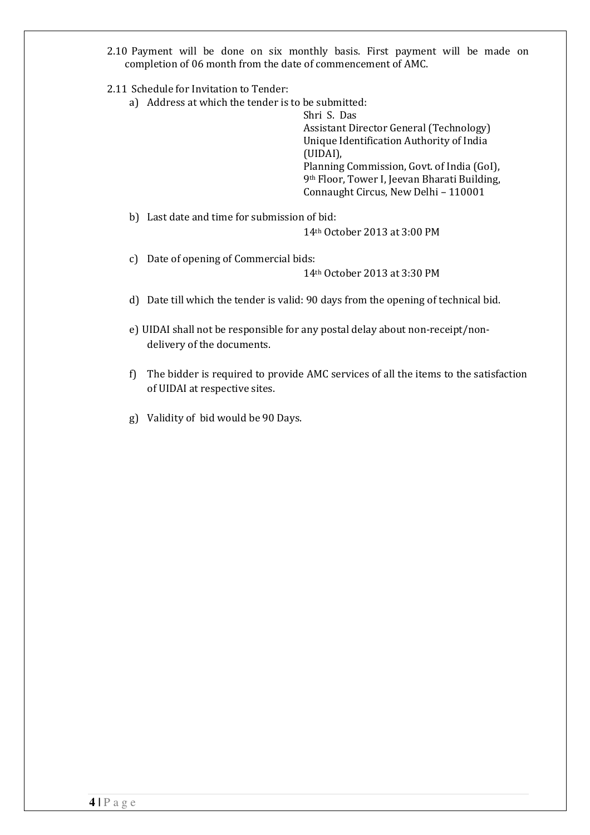2.10 Payment will be done on six monthly basis. First payment will be made on completion of 06 month from the date of commencement of AMC.

2.11 Schedule for Invitation to Tender:

a) Address at which the tender is to be submitted:

Shri S. Das Assistant Director General (Technology) Unique Identification Authority of India (UIDAI), Planning Commission, Govt. of India (GoI), 9th Floor, Tower I, Jeevan Bharati Building, Connaught Circus, New Delhi – 110001

b) Last date and time for submission of bid:

14th October 2013 at 3:00 PM

c) Date of opening of Commercial bids:

14th October 2013 at 3:30 PM

- d) Date till which the tender is valid: 90 days from the opening of technical bid.
- e) UIDAI shall not be responsible for any postal delay about non-receipt/nondelivery of the documents.
- f) The bidder is required to provide AMC services of all the items to the satisfaction of UIDAI at respective sites.
- g) Validity of bid would be 90 Days.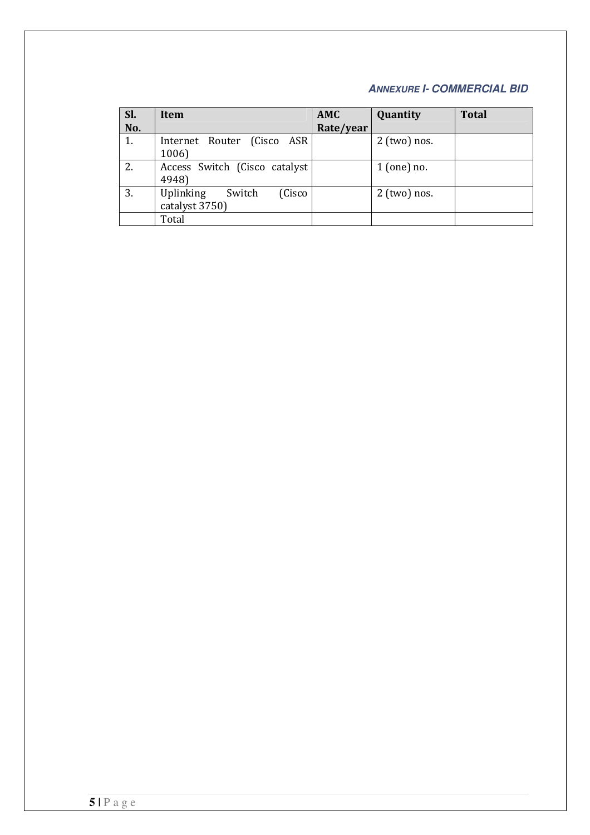## **ANNEXURE I- COMMERCIAL BID**

| Sl. | Item                                            | <b>AMC</b> | Quantity       | <b>Total</b> |
|-----|-------------------------------------------------|------------|----------------|--------------|
| No. |                                                 | Rate/year  |                |              |
| 1.  | Internet Router (Cisco ASR)<br>1006)            |            | $2$ (two) nos. |              |
| 2.  | Access Switch (Cisco catalyst<br>4948)          |            | $1$ (one) no.  |              |
| 3.  | Uplinking<br>(Cisco<br>Switch<br>catalyst 3750) |            | $2$ (two) nos. |              |
|     | Total                                           |            |                |              |